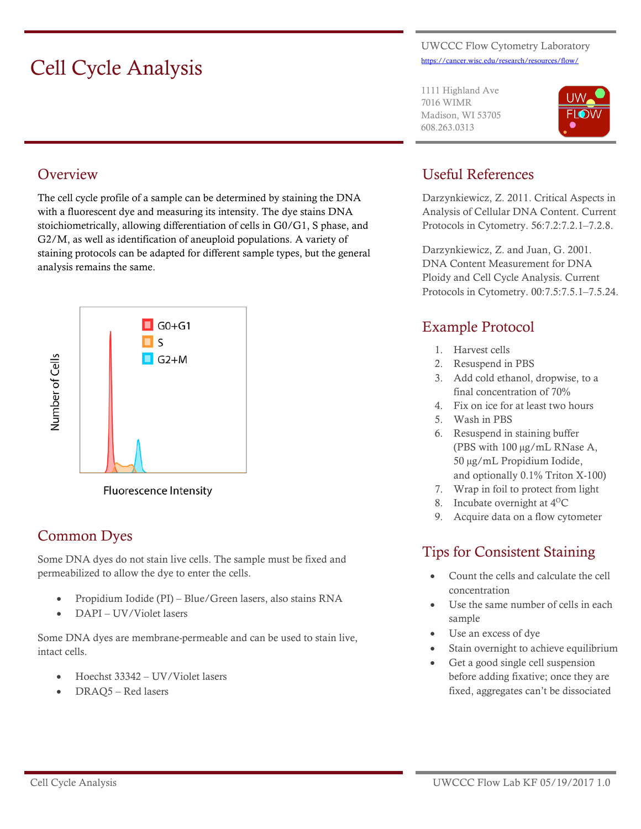# Cell Cycle Analysis

#### UWCCC Flow Cytometry Laboratory <https://cancer.wisc.edu/research/resources/flow/>

1111 Highland Ave 7016 WIMR Madison, WI 53705 608.263.0313



#### **Overview**

The cell cycle profile of a sample can be determined by staining the DNA with a fluorescent dye and measuring its intensity. The dye stains DNA stoichiometrically, allowing differentiation of cells in G0/G1, S phase, and G2/M, as well as identification of aneuploid populations. A variety of staining protocols can be adapted for different sample types, but the general analysis remains the same.



Fluorescence Intensity

#### Common Dyes

Some DNA dyes do not stain live cells. The sample must be fixed and permeabilized to allow the dye to enter the cells.

- Propidium Iodide (PI) Blue/Green lasers, also stains RNA
- DAPI UV/Violet lasers

Some DNA dyes are membrane-permeable and can be used to stain live, intact cells.

- Hoechst 33342 UV/Violet lasers
- DRAQ5 Red lasers

#### Useful References

Darzynkiewicz, Z. 2011. Critical Aspects in Analysis of Cellular DNA Content. Current Protocols in Cytometry. 56:7.2:7.2.1–7.2.8.

Darzynkiewicz, Z. and Juan, G. 2001. DNA Content Measurement for DNA Ploidy and Cell Cycle Analysis. Current Protocols in Cytometry. 00:7.5:7.5.1–7.5.24.

#### Example Protocol

- 1. Harvest cells
- 2. Resuspend in PBS
- 3. Add cold ethanol, dropwise, to a final concentration of 70%
- 4. Fix on ice for at least two hours
- 5. Wash in PBS
- 6. Resuspend in staining buffer (PBS with 100 µg/mL RNase A, 50 µg/mL Propidium Iodide, and optionally 0.1% Triton X-100)
- 7. Wrap in foil to protect from light
- 8. Incubate overnight at 4<sup>o</sup>C
- 9. Acquire data on a flow cytometer

### Tips for Consistent Staining

- Count the cells and calculate the cell concentration
- Use the same number of cells in each sample
- Use an excess of dye
- Stain overnight to achieve equilibrium
- Get a good single cell suspension before adding fixative; once they are fixed, aggregates can't be dissociated